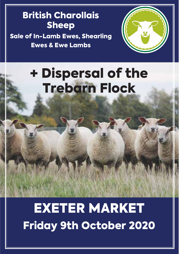## British Charollais Sheep

Sale of In-Lamb Ewes, Shearling Ewes & Ewe Lambs



+ Dispersal of the Trebarn Flock

EXETER MARKET Friday 9th October 2020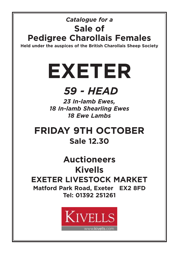## *Catalogue for a* **Sale of Pedigree Charollais Females**

**Held under the auspices of the British Charollais Sheep Society**

# **EXETER**

# *59 - HEAD*

*23 In-lamb Ewes,* 18 **Ewe Lambs** *18 Ewe Lambs*

**FRIDAY 9TH OCTOBER Sale 12.30**

**Auctioneers Kivells EXETER LIVESTOCK MARKET Matford Park Road, Exeter EX2 8FD Tel: 01392 251261**

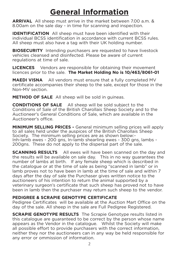## **General Information**

**ARRIVAL** All sheep must arrive in the market between 7.00 a.m. & 8.00am on the sale day - in time for scanning and inspection.

**IDENTIFICATION** All sheep must have been identified with their individual BCSS identification in accordance with current BCSS rules. All sheep must also have a tag with their UK holding number.

**BIOSECURITY** Intending purchasers are requested to have livestock vehicles cleansed and disinfected. Please be aware of current regulations at time of sale.

**LICENCES** Vendors are responsible for obtaining their movement licences prior to the sale. **The Market Holding No is 10/463/8061-01**

**MAEDI VISNA** All vendors must ensure that a fully completed MV certificate accompanies their sheep to the sale, except for those in the Non-MV section.

**METHOD OF SALE** All sheep will be sold in guineas.

**CONDITIONS OF SALE** All sheep will be sold subject to the Conditions of Sale of the British Charollais Sheep Society and to the Auctioneer's General Conditions of Sale, which are available in the Auctioneer's office.

**MINIMUM SELLING PRICES -** General minimum selling prices will apply to all sales held under the auspices of the British Charollais Sheep Society. The minimum selling prices are as shown below:- Inh-lamb ewes - 200 gns, In-lamb shearling ewes - 300 gns, lambs - 200gns. These do not apply to the dispersal part of the sale.

**SCANNING RESULTS** All ewes will have been scanned on the day and the results will be available on sale day. This in no way guarantees the number of lambs at birth. If any female sheep which is described in the catalogue or at the time of sale as being "scanned in lamb" or in lamb proves not to have been in lamb at the time of sale and within 7 days after the day of sale the Purchaser gives written notice to the auctioneers of his intention to return the animal supported by a veterinary surgeon's certificate that such sheep has proved not to have been in lamb then the purchaser may return such sheep to the vendor.

#### **PEDIGREE & SCRAPIE GENOTYPE CERTIFICATE**

Pedigree Certificates will be available at the Auction Mart Office on the day of the sale. All sheep in the sale are Full Pedigree Registered.

**SCRAPIE GENOTYPE RESULTS** The Scrapie Genotype results listed in this catalogue are guaranteed to be correct by the person whose name appears as the Vendor in the catalogue. Whilst the Society will make all possible effort to provide purchasers with the correct information, neither they nor the auctioneers can in any way be held responsible for any error or ommission of information.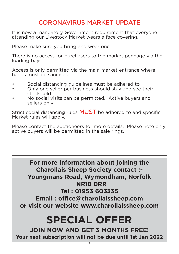## CORONAVIRUS MARKET UPDATE

It is now a mandatory Government requirement that everyone attending our Livestock Market wears a face covering.

Please make sure you bring and wear one.

There is no access for purchasers to the market pennage via the loading bays.

Access is only permitted via the main market entrance where hands must be sanitised

- Social distancing guidelines must be adhered to
- Only one seller per business should stay and see their stock sold
- No social visits can be permitted. Active buyers and sellers only

Strict social distancing rules **MUST** be adhered to and specific Market rules will apply.

Please contact the auctioneers for more details. Please note only active buyers will be permitted in the sale rings.

> **For more information about joining the Charollais Sheep Society contact :- Youngmans Road, Wymondham, Norfolk NR18 0RR Tel : 01953 603335**

**Email : office@charollaissheep.com or visit our website www.charollaissheep.com**

## **SPECIAL OFFER**

**JOIN NOW AND GET 3 MONTHS FREE! Your next subscription will not be due until 1st Jan 2022**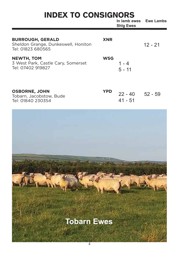## INDEX TO CONSIGNORS

|                                                                                     |            | III IAIIIU EWES<br><b>Shig Ewes</b> | EWE LAIIIUS |
|-------------------------------------------------------------------------------------|------------|-------------------------------------|-------------|
| <b>BURROUGH, GERALD</b><br>Sheldon Grange, Dunkeswell, Honiton<br>Tel: 01823 680565 | <b>XNR</b> |                                     | $12 - 21$   |
| <b>NEWTH, TOM</b><br>3 West Park, Castle Cary, Somerset<br>Tel: 07402 919827        | <b>WSG</b> | 1 - 4<br>$5 - 11$                   |             |
| <b>OSBORNE, JOHN</b><br>Tobarn, Jacobstow, Bude<br>Tel: 01840 230354                | <b>YPD</b> | $22 - 40$ $52 - 59$<br>41 - 51      |             |

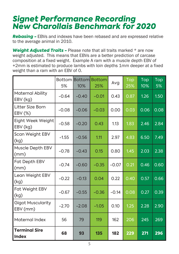## *Signet Performance Recording New Charollais Benchmark for 2020*

*Rebasing -* EBVs and indexes have been rebased and are expressed relative to the average animal in 2010.

*Weight Adjusted Traits -* Please note that all traits marked \* are now weight adjusted. This means that EBVs are a better prediction of carcase composition at a fixed weight. Example A ram with a muscle depth EBV of +2mm is estimated to produce lambs with loin depths 1mm deeper at a fixed weight than a ram with an EBV of 0.

|                                      | 5%      | 10%     | Bottom Bottom Bottom<br>25% | Avg     | Top<br>25% | Top<br>10% | Top<br>5% |
|--------------------------------------|---------|---------|-----------------------------|---------|------------|------------|-----------|
| Maternal Ability<br>EBV (kg)         | $-0.64$ | $-0.40$ | $-0.01$                     | 0.43    | 0.87       | 1.26       | 1.50      |
| Litter Size Born<br>EBV (%)          | $-0.08$ | $-0.06$ | $-0.03$                     | 0.00    | 0.03       | 0.06       | 0.08      |
| Eight Week Weight<br>EBV (kg)        | $-0.58$ | $-0.20$ | 0.43                        | 1.13    | 1.83       | 2.46       | 2.84      |
| Scan Weight EBV<br>(kg)              | $-1.55$ | $-0.56$ | 1.11                        | 2.97    | 4.83       | 6.50       | 7.49      |
| Muscle Depth EBV<br>(mm)             | $-0.78$ | $-0.43$ | 0.15                        | 0.80    | 1.45       | 2.03       | 2.38      |
| Fat Depth EBV<br>(mm)                | $-0.74$ | $-0.60$ | $-0.35$                     | $-0.07$ | 0.21       | 0.46       | 0.60      |
| Lean Weight EBV<br>(kg)              | $-0.22$ | $-0.13$ | 0.04                        | 0.22    | 0.40       | 0.57       | 0.66      |
| Fat Weight EBV<br>(kg)               | $-0.67$ | $-0.55$ | $-0.36$                     | $-0.14$ | 0.08       | 0.27       | 0.39      |
| <b>Gigot Muscularity</b><br>EBV (mm) | $-2.70$ | $-2.08$ | $-1.05$                     | 0.10    | 1.25       | 2.28       | 2.90      |
| Maternal Index                       | 56      | 79      | 119                         | 162     | 206        | 245        | 269       |
| <b>Terminal Sire</b><br><b>Index</b> | 68      | 93      | 135                         | 182     | 229        | 271        | 296       |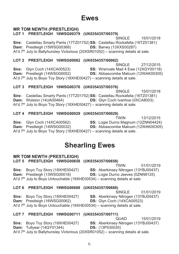### **Ewes**

#### **MR TOM NEWTH (PRESTLEIGH)**

#### LOT 1 PRESTLEIGH 18WSG00379 (UK0354357/00379)

SINGLE 15/01/2018 Sire: Castellau Smarty Pants (17TZ01752) SS: Castellau Rockafella (16TZ01381) Dam: Prestleigh (15WSG00368) **DS: Banwy (13XXS00287)** Al'd 7<sup>th</sup> July to Ballyhunsley Victorious (20XSR01052) - scanning details at sale.

#### LOT 2 PRESTLEIGH 16WSG00062 (UK0354357/00062)

SINGLE 27/12/2015 Sire: Glyn Coch (14XCA00523)<br>Dam: Prestleigh (14WSG00052) **SS:** Wrenvale Iviau 4 LWD (12WAK00305)<br> **DS:** Abbascombe Malcum (12WAK00305) SS: Wrenvale Mad 4 Ewe (12XGY00118) Al'd  $7<sup>th</sup>$  July to Boyo Toy Story (18XHE00427) – scanning details at sale.

#### LOT 3 PRESTLEIGH 18WSG00376 (UK0354357/00376)

SINGLE 15/01/2018 Sire: Castellau Smarty Pants (17TZ01752) SS: Castellau Rockafella (16TZ01381) Dam: Wolston (14UA00464) **DS:** Glyn Coch Ivanhoe (0XCA8003) Al'd  $7<sup>th</sup>$  July to Boyo Toy Story (18XHE00427) – scanning details at sale.

LOT 4 PRESTLEIGH 16WSG00029 (UK0354357/00029)

**TWIN** 13/12/2015 Sire: Glvn Coch (14XCA00562) SS: Logie Durno Magnum (12ZNN04424) Dam: Prestleigh (14WSG00032) **DS:** Abbascombe Malcum (12WAK00305) Al'd  $7<sup>th</sup>$  July to Boyo Toy Story (18XHE00427) – scanning details at sale.

### **Shearling Ewes**

#### **MR TOM NEWTH (PRESTLEIGH)**

LOT 5 PRESTLEIGH 19WSG00658 (UK0354357/00658)

**TWIN** 01/01/2019 Sire: Boyo Toy Story (18XHE00427) SS: Aberkinsey Nitrogen (13YBJ00437) Dam: Prestleigh (13WSG00018) **DS:** Logie Durno Jeeves (0ZNN9125) Al'd 7<sup>th</sup> July to Boyo Untouchable (19XHE00534) - scanning details at sale.

#### LOT 6 PRESTLEIGH 19WSG00688 (UK0354357/00688)

SINGLE 01/01/2019

SS: Aberkinsey Nitrogen (13YBJ00437) Sire: Bovo Tov Story (18XHE00427) Dam: Prestleigh (16WSG00062) DS: Glyn Coch (14XCA00523)

Al'd 7<sup>th</sup> July to Boyo Untouchable (19XHE00534) - scanning details at sale.

#### LOT 7 PRESTLEIGH 19WSG00711 (UK0354357/00711)

QUAD 15/01/2019

Sire: Boyo Toy Story (18XHE00427) SS: Aberkinsey Nitrogen (13YBJ00437) Dam: Tullvear (14QY01344) **DS:** (13P530035) Al'd 7<sup>th</sup> July to Ballyhunsley Victorious (20XSR01052) - scanning details at sale.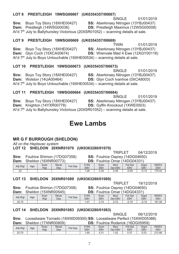#### Sire: Boyo Toy Story (18XHE00427) SS: Aberkinsey Nitrogen (13YBJ00437) Dam: Prestleigh (14WSG00036) **DS: Prestleigh Maximus (12WSG00008)** Al'd  $7<sup>th</sup>$ , July to Ballyhunsley Victorious (20XSR01052) – scanning details at sale. LOT 9 PRESTLEIGH 19WSG00669 (UK0354357/00669) **TWIN** 01/01/2019 Sire: Bovo Tov Story (18XHE00427) SS: Aberkinsey Nitrogen (13YBJ00437) Dam: Glyn Coch (15XCA00674) DS: Wrenvale Mad 4 Ewe (12XGY00118) Al'd 7<sup>th</sup> July to Boyo Untouchable (19XHE00534) - scanning details at sale. LOT 10 PRESTLEIGH 19WSG00673 (UK0354357/00673) SINGLE 01/01/2019 Sire: Bovo Tov Story (18XHE00427) SS: Aberkinsey Nitrogen (13YBJ00437) Dam: Wolston (14UA00464) DS: Glyn Coch Ivanhoe (0XCA8003) Al'd 7<sup>th</sup> July to Boyo Untouchable (19XHE00534) - scanning details at sale.

#### LOT 11 PRESTLEIGH 19WSG00684 (UK0354357/00684)

LOT 8 PRESTLEIGH 19WSG00667 (UK0354357/00667)

SINGLE 01/01/2019 Sire: Boyo Toy Story (18XHE00427) **SS: Aberkinsey Nitrogen (13YBJ00437)** Dam: Knighton (14YXR00778) **DS:** Gyffin Knockout (1XWE0003) Al'd  $7<sup>th</sup>$  July to Ballyhunsley Victorious (20XSR01052) – scanning details at sale.

### **Ewe Lambs**

#### **MR G F BURROUGH (SHELDON)**

All on the Heptavac system

 $\overline{23}$ 

#### LOT 12 SHELDON 20XNR01070 (UK0363280/01070)

**TRIPLET** 04/12/2019 CO. Faultice Oceans: (44DO04050)

 $-0.08$ 

 $-0.14$ 

SINGLE

01/01/2019

| Sire:   |     |             | Foulrice Shimon (17DG07358)      |         |             |                    |                 | <b>SS:</b> Foulrice Osprey (14DG04650) |                     |
|---------|-----|-------------|----------------------------------|---------|-------------|--------------------|-----------------|----------------------------------------|---------------------|
|         |     |             | <b>Dam:</b> Sheldon (16XNR00773) |         |             |                    |                 | <b>DS:</b> Foulrice Omar (14DG04331)   |                     |
| Adj Wgt | Age | Scan<br>Wat | Mscle<br>Dep                     | Fat Dep | 8 Wk<br>EBV | Scan<br><b>EBV</b> | Mscl<br>Dot EBV | Fat Dpt<br><b>EBV</b>                  | Giaot<br><b>EBV</b> |

 $1.28$ 

 $3.35$ 

#### LOT 13 SHELDON 20XNR01089 (UK0363280/01089)

**TRIPLET** 19/12/2019

Sire: Foulrice Shimon (17DG07358) Dam: Sheldon (15XNR00545)

SS: Foulrice Osprey (14DG04650) DS: Foulrice Omar (14DG04331)

 $0.49$ 

| Dan.    |     |             | <u>UIIGIUUII LIVAINTUUTTU</u> |         |             |             |                 | <b>DU.</b> TUGING UNIGHT THOUTS IT |              |                            |
|---------|-----|-------------|-------------------------------|---------|-------------|-------------|-----------------|------------------------------------|--------------|----------------------------|
| Adj Wgt | Age | Scan<br>Wgt | <b>Mscle</b><br>Dep           | Fat Dep | 8 Wk<br>EBV | Scan<br>EBV | Mscl<br>Dot EBV | Fat Dpt<br><b>EBV</b>              | Gigot<br>EBV | <b>INDEX</b><br><b>EBV</b> |
| 25.10   |     |             |                               |         | .47         | ، ، ، ب     |                 | $-0.19$                            | $-0.10$      | 181.58                     |

#### LOT 14 SHELDON 20XNR01083 (UK0363280/01083)

06/12/2019 SINGLE

**INDEX** FRV

176.02

Sire: Loosebeare Tornado (18XWD09300) SS: Loosebeare Perfect (15XWD05388) Dam: Sheldon (17XNR00809) **DS: Foulrice Roderick (16DG05959)** 

| Adi Wat | Age | Scan<br>Wgt | Mscle<br>Dep | Fat Dep | 8 Wk<br>EB\ | Scan<br>EBV    | Msci<br>Dpt<br>EBV | Fat<br>Dpt<br><b>EBV</b> | Gigot<br><b>EBV</b> | <b>INDEX</b><br>EBV |
|---------|-----|-------------|--------------|---------|-------------|----------------|--------------------|--------------------------|---------------------|---------------------|
| 25.70   |     |             |              |         | 1.69        | $\sim$<br>۰. ت | 1.52               | 0.37                     | 0.03                | 212.88              |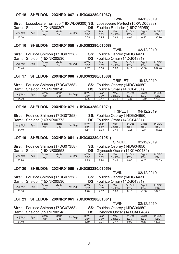#### LOT 15 SHELDON 20XNR01067 (UK0363280/01067)

Sire: Loosebeare Tornado (18XWD09300) SS: Loosebeare Perfect (15XWD05388) Dam: Sholdon (17YND00807) DS: Foulrice Roderick (16DG05959)

| ------  | -------- |      | .            |                | ---        |      | ---------------- |         |            |              |
|---------|----------|------|--------------|----------------|------------|------|------------------|---------|------------|--------------|
| Adj Wgt | Age      | Scan | <b>Mscle</b> | <b>Fat Dep</b> | 8 Wk       | Scan | Mscl             | Fat Dpt | Gigot      | <b>INDEX</b> |
|         |          | Wgt  | Dep          |                | <b>EBV</b> | EBV  | Dpt EBV          | EBV     | <b>EBV</b> | <b>EBV</b>   |
| 18.20   |          |      |              |                | 0.35       | 0.95 | 0.88             | 0.03    | 0.53       | 135.96       |

#### LOT 16 SHELDON 20XNR01058 (UK0363280/01058)

Sire: Foulrice Shimon (17DG07358) Dam: Sheldon (15XNR00530)

| <b>SS:</b> Foulrice Osprey (14DG04650) |  |
|----------------------------------------|--|
| <b>DS:</b> Foulrice Omar (14DG04331)   |  |

**TWIN** 

**TWIN** 

| Adj Wgt | Age | Scan<br>Wgt | Mscle<br>Dep | $Fat$ Dep | 8 Wk<br>EB\      | Scan<br>EBV | Mscl<br><b>EBV</b><br>Dpt | Fat<br>Dpt<br><b>EBV</b> | Gigot<br><b>EBV</b> | <b>INDEX</b><br>EBV |
|---------|-----|-------------|--------------|-----------|------------------|-------------|---------------------------|--------------------------|---------------------|---------------------|
| 21.40   |     |             |              |           | 0.47<br><u>.</u> | 5.50        | 0.06                      | 0.15                     | $-0.08$             | 202.48              |

#### LOT 17 SHELDON 20XNR01088 (UK0363280/01088)

Sire: Foulrice Shimon (17DG07358)

**SS:** Foulrice Osprey (14DG04650)

TRIPI FT

|  | Dam: Sheldon $(15XNR00545)$ |  |
|--|-----------------------------|--|

Adj Wgt

 $24.20$ 

Age

|             | ነ (15XNR00545)      |         |             |             |                 | <b>DS:</b> Foulrice Omar (14DG04331) |              |                     |
|-------------|---------------------|---------|-------------|-------------|-----------------|--------------------------------------|--------------|---------------------|
| Scan<br>Wgt | <b>Mscle</b><br>Dep | Fat Dep | 8 Wk<br>EBV | Scan<br>EBV | Mscl<br>Dot EBV | Fat Dpt<br>EBV                       | Gigot<br>EBV | <b>INDEX</b><br>EBV |
|             |                     |         | 36          | 347         |                 | -0 19                                | $-0.10$      | 176.67              |

#### **LOT 18** SHELDON 20XNR01071 (UK0363280/01071)

Sire: Foulrice Shimon (17DG07358) Dam: Sheldon (16XNR00773)

SS: Foulrice Osprey (14DG04650) DS: Foulrice Omar (14DG04331)

| Adj Wgt | Age | Scan<br>Wgt | Mscle<br>Dep | Fat Dep | <b>RWK</b><br>EBV | Scan<br><b>EBV</b> | Mscl<br>Dpt EBV | <b>Fat Dpt</b><br><b>EBV</b> | Gigot<br><b>EBV</b> | <b>INDEX</b><br>EBV |
|---------|-----|-------------|--------------|---------|-------------------|--------------------|-----------------|------------------------------|---------------------|---------------------|
| 24.40   |     |             |              |         | .54               | 3.98               | 0.49            | $-0.08$                      | $-0.14$             | 187.32              |

#### LOT 19 SHELDON 20XNR01051 (UK0363280/01051)

Sire: Foulrice Shimon (17DG07358)  $\sim$   $\sim$  $(15)$ 

**SINGLE** SS: Foulrice Osprey (14DG04650)  $\sim$  $\sim$ . . . . *. .* . . . . .

| <b>Dam:</b> |     | SNEIGON (19XNRUU393) |                     |         | :כע         |             | Givncoch Oscar  | (1480A00484)          |              |                            |
|-------------|-----|----------------------|---------------------|---------|-------------|-------------|-----------------|-----------------------|--------------|----------------------------|
| Adj Wgt     | Age | Scan<br>Wgt          | <b>Mscle</b><br>Dep | Fat Dep | 8 Wk<br>EBV | Scan<br>EBV | Mscl<br>Dpt EBV | Fat Dpt<br><b>EBV</b> | Gigot<br>EBV | <b>INDEX</b><br><b>EBV</b> |
| 25.90       |     |                      |                     |         | .25         | 2.94        | 0.43            | 0.06                  | 0.28         | 171.33                     |

#### LOT 20 SHELDON 20XNR01059 (UK0363280/01059)

**TWIN** 03/12/2019

Sire: Foulrice Shimon (17DG07358)

Dam: Sheldon (15XNR00530)

SS: Foulrice Osprey (14DG04650)  $\overline{D}$ S. Foulrice Omar (14DG04331)

**TWIN** 

| -----   |     |             | <u> UNUMUN I IUZITI VUUUUU I</u> |         | ----        |                |                 |                       |              |                     |
|---------|-----|-------------|----------------------------------|---------|-------------|----------------|-----------------|-----------------------|--------------|---------------------|
| Adj Wgt | Age | Scan<br>Wgt | <b>Mscle</b><br>Dep              | Fat Dep | 8 Wk<br>EBV | Scan<br>EBV    | Mscl<br>Dpt EBV | Fat Dpt<br><b>EBV</b> | Gigot<br>EBV | <b>INDEX</b><br>EBV |
| 20.10   |     |             |                                  |         | 70          | $\sim$<br>4.3, | 0.06            |                       | $-0.08$      | 182.31              |

#### LOT 21 SHELDON 20XNR01061 (UK0363280/01061)

| Sire:   |     |      | Foulrice Shimon (17DG07358) |         | <b>SS:</b> Foulrice Osprey (14DG04650) |                                        |         |            |            |              |  |
|---------|-----|------|-----------------------------|---------|----------------------------------------|----------------------------------------|---------|------------|------------|--------------|--|
|         |     |      | Dam: Sheldon (15XNR00548)   |         |                                        | <b>DS:</b> Glyncoch Oscar (14XCA00484) |         |            |            |              |  |
| Adj Wgt | Age | Scan | Mscle                       | Fat Dep | 8 Wk                                   | Scan                                   | Mscl    | Fat Dpt    | Gigot      | <b>INDEX</b> |  |
|         |     | Wat  | Dep                         |         | <b>EBV</b>                             | EBV                                    | Dpt EBV | <b>EBV</b> | <b>EBV</b> | <b>EBV</b>   |  |
| 21.40   |     |      |                             |         | 1.59                                   | 3.91                                   | 0.17    | 0.02       | 0.28       | 180.84       |  |

04/12/2019

03/12/2019

19/12/2019

02/12/2019

03/12/2019

176.67

**TRIPLET** 04/12/2019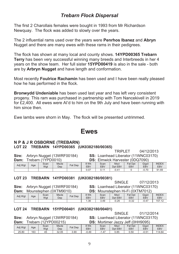#### **Trebarn Flock Dispersal**

The first 2 Charollais females were bought in 1993 from Mr Richardson Newquay. The flock was added to slowly over the years.

The 2 influential rams used over the years were Penrhos Ibanez and Abryn Nugget and there are many ewes with these rams in their pedigrees.

The flock has shown at many local and county shows. 14YPD00365 Trebarn Terry has been very successful winning many breeds and Interbreeds in her 4 years on the show team. Her full sister 15YPD00419 is also in the sale - both are by Arbryn Nugget and have length and conformation.

Most recently **Foulrice Rachamin** has been used and I have been really pleased how he has performed in the flock.

Bronwydd Undeniable has been used last year and has left very consistent progeny. This ram was purchased in partnership with Tom Nancekivell in 2019 for £2.400. All ewes were AI'd to him on the 9th July and have been running with him since then

Ewe lambs were shorn in May. The flock will be presented untrimmed.

#### **Ewes**

#### N P & J R OSBORNE (TREBARN)

#### LOT 22 TREBARN 14YPD00365 (UK0382180/00365)

TRIPI FT 04/12/2013

Sire: Arbryn Nugget (13WRF00184) Dam: Trebarn (1YPD0010)

SS: Loanhead Liberator (11WNC03170) **DS:** Elmwick Hanvester (0DO7090)

| <b>Pail</b> . |     |             |                     | <b>DU.</b> LIIIWIUN HUI YUJUI TUD GI UJUI |             |             |                 |                |              |                     |  |  |
|---------------|-----|-------------|---------------------|-------------------------------------------|-------------|-------------|-----------------|----------------|--------------|---------------------|--|--|
| Adj Wgt       | Age | Scan<br>Wgt | <b>Mscle</b><br>Dep | Fat Dep                                   | 8 Wk<br>EB\ | Scan<br>EBV | Mscl<br>Dpt EBV | Fat Dpt<br>EBV | Gigot<br>EB\ | <b>INDEX</b><br>EBV |  |  |
|               |     |             |                     |                                           | 0.07        |             | $-0.42$         |                | $-0.70$      | 91.69               |  |  |

#### LOT 23 TREBARN 14YPD00381 (UK0382180/00381)

Sire: Arbryn Nugget (13WRF00184)

SINGLE. 07/12/2013 SS: Loanhead Liberator (11WNC03170)

Dam: Mounstephen (0XTM9010)

DS: Mounstephen Hi-Fi (0XTM7012)

| Adj Wgt | Age | Scan<br>Wgt | <b>Mscle</b><br>Dep | Fat Dep | 8 Wk<br>EBV | Scan<br>EBV | Mscl<br>EBV<br><b>D</b> nt | Fat Dpt<br>EBV | Gigot<br>EB\ | <b>INDEX</b><br><b>EBV</b> |
|---------|-----|-------------|---------------------|---------|-------------|-------------|----------------------------|----------------|--------------|----------------------------|
|         |     |             |                     |         | . 36        | 3.49        | $-0.26$                    | $-0.32$        | $-0.4$       | 157.12                     |

#### LOT 24 TREBARN 15YPD00401 (UK0382180/00401)

Sire: Arbryn Nugget (13WRF00184)  $Dam:$  Trebarn (12YPD00215)

SINGLE. 01/12/2014 SS: Loanhead Liberator (11WNC03170)  $\alpha$ 

|  |  |  |  | <b>DS:</b> Mortimer Jazzy Jeff (0HH9095 |
|--|--|--|--|-----------------------------------------|
|--|--|--|--|-----------------------------------------|

| -------- | .   | -------     | --------            |         |                   | _ _ _ _ _ _ _ _ _ _ _ _ _ _ _ _ _ _ _ _ |                 | - - - -        | - - - - -    |                            |
|----------|-----|-------------|---------------------|---------|-------------------|-----------------------------------------|-----------------|----------------|--------------|----------------------------|
| Adj Wgt  | Age | Scan<br>Wat | <b>Mscle</b><br>Dep | Fat Dep | <b>SWK</b><br>EBV | Scan<br><b>EBV</b>                      | Mscl<br>Dpt EBV | Fat Dpt<br>EBV | Gigot<br>EB\ | <b>INDEX</b><br><b>EBV</b> |
| 25.80    | 163 | 45          | 32.05               | 3.90    | $-0.49$           | .47                                     | 0.85            | 0.50           | $-0.54$      | 114.64                     |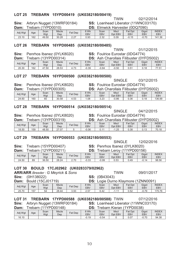#### LOT 25 TREBARN 15YPD00419 (UK0382180/00419)

**TWIN** 02/12/2014

Sire: Arbryn Nugget (13WRF00184)  $D_{\text{max}}$ ,  $T_{\text{sub}}$   $\mu$   $\bar{\nu}$ 

#### SS: Loanhead Liberator (11WNC03170) **DC**. Elmuiek Henroctor (0DO7000)

| Daill.  |     | <u>IGUAILLITEUVUTUL</u> |                     |                                   | UJ.         |                    |                 | EIIIWICN FIALVESIEI (UDQ/U9U) |              |                     |
|---------|-----|-------------------------|---------------------|-----------------------------------|-------------|--------------------|-----------------|-------------------------------|--------------|---------------------|
| Adj Wgt | Age | Scan<br>Wgt             | <b>Mscle</b><br>Dep | Fat Dep                           | 8 Wk<br>EBV | Scan<br><b>EBV</b> | Mscl<br>Dpt EBV | <b>Fat Dpt</b><br><b>EBV</b>  | Gigot<br>EBV | <b>INDEX</b><br>EBV |
| 23.10   | 162 | 49.50                   | 30.28               | 0.27<br>$\epsilon$ . $\epsilon$ . | 0.93        | າາາ<br>2.32        | 0.09            | $-0.15$                       | $-0.70$      | 141.36              |

#### LOT 26 TREBARN 16YPD00485 (UK0382180/00485)

**TWIN** 01/12/2015 SS: Foulrice Eurostar (0DG4774)

Sire: Penrhos Ibanez (0YLK8020)  $T_{\text{roharn}}$  (12VDD00214)  $\sim$   $\sim$ 

| Dam:    |     |             | Trebarn (13YPD00314) |         |             | <b>DS:</b> Ash Charollais Filibuster (0YFD5002) |                 |                       |              |                     |
|---------|-----|-------------|----------------------|---------|-------------|-------------------------------------------------|-----------------|-----------------------|--------------|---------------------|
| Adj Wgt | Age | Scan<br>Wgt | Mscle<br>Dep         | Fat Dep | 8 Wk<br>EBV | Scan<br>EBV                                     | Mscl<br>Dot EBV | <b>Fat Dpt</b><br>EBV | Gigot<br>EBV | <b>INDEX</b><br>EBV |
| 20.30   | 162 | 47.50       | 28.53                | 4.73    | $-0.39$     | $-0.84$                                         | $-0.50$         | 0.51                  | 0.18         | 77.51               |

#### LOT 27 TREBARN 16YPD00500 (UK0382180/00500)

SINGLE 03/12/2015

Sire: Penrhos Ibanez (0YLK8020)

SS: Foulrice Eurostar (0DG4774)

Dam: Trebarn (13YPD00305)

D5002)

|  | <b>DS:</b> Ash Charollais Filibuster (0YF |  |
|--|-------------------------------------------|--|
|  |                                           |  |

| Adj Wgt | Age | Scan<br>Wgt | Mscle<br>Dep | Fat Dep    | 9 Wk<br><b>EBV</b> | Scan<br>EBV  | Mscl<br>EBV<br>Dpt | Fat<br>Dpt<br><b>EBV</b> | Gigot<br>EBV | <b>INDEX</b><br><b>EBV</b> |
|---------|-----|-------------|--------------|------------|--------------------|--------------|--------------------|--------------------------|--------------|----------------------------|
| 24.60   | 160 | 60          | 30.58        | E0<br>1.53 | .08                | ר ה<br>ں ے.ر | $-0.86$            | 0.36                     | 0.40         | 136.99                     |

#### LOT 28 TREBARN 16YPD00514 (UK0382180/00514)

**SINGLE** 

Sire: Penrhos Ibanez (0YLK8020) Dam: Trebarn (13YPD00319)

**SS: Foulrice Eurostar (0DG4774)** DS: Ash Charollais Filibuster (0YFD5002)

**SINGLE** 

| ------  | ------ | --          | --------            |         | __                 |                       |                 |                |              | --------            |
|---------|--------|-------------|---------------------|---------|--------------------|-----------------------|-----------------|----------------|--------------|---------------------|
| Adj Wgt | Age    | Scan<br>Wgt | <b>Mscle</b><br>Dep | Fat Dep | 3 Wk<br><b>EBV</b> | Scan<br>EBV           | Mscl<br>Dpt EBV | Fat Dpt<br>EBV | Gigot<br>EBV | <b>INDEX</b><br>EBV |
| 18.50   | 159    | 48.50       | 27.07               |         | $-0.06$            | $^{\circ}$ 44<br>U.II | .25             | 0.38           | 0.13         | 70.18               |

#### LOT 29 TREBARN 16YPD00553 (UK0382180/00553)

#### Sire: Trebarn (15YPD00407)

SS: Penrhos Ibanez (0YLK8020)

| Dam:<br>l rebarn (12YPD00211) |         |     |             |                     |         | DS:         |             |                 | Frebarn Lerov (11YPD00156) |              |                            |
|-------------------------------|---------|-----|-------------|---------------------|---------|-------------|-------------|-----------------|----------------------------|--------------|----------------------------|
|                               | Adj Wgt | Age | Scan<br>Wgt | <b>Mscle</b><br>Dep | Fat Dep | 8 Wk<br>EBV | Scan<br>EBV | Mscl<br>Dpt EBV | Fat Dpt<br>EBV             | Gigot<br>EBV | <b>INDEX</b><br><b>EBV</b> |
|                               | 24.50   | 89  | 36.50       | 28.24               | 2.70    | $-0.33$     | $-0.99$     | 0.53            | 0.49                       | $-0.14$      | 98.56                      |

#### LOT 30 BOULD 17CJ02962 (UK0283379/02962)

| <b>ARRIARR</b> Breeder: G Meyrick & Sons |     |                |                     |             | TWIN<br>09/01/2017 |                                            |                 |                       |                     |                     |
|------------------------------------------|-----|----------------|---------------------|-------------|--------------------|--------------------------------------------|-----------------|-----------------------|---------------------|---------------------|
| <b>Sire:</b> (0H138022)                  |     |                |                     |             |                    | <b>SS:</b> (0B43043)                       |                 |                       |                     |                     |
| <b>Dam:</b> Bould (15CJ01719)            |     |                |                     |             |                    | <b>DS:</b> Logie Durno Klaymore (1ZNN0091) |                 |                       |                     |                     |
| Adi Wat                                  | Age | Scan<br>Wat    | <b>Mscle</b><br>Dep | Fat Dep     | 8 Wk<br><b>EBV</b> | Scan<br>EBV                                | Mscl<br>Dpt EBV | Fat Dpt<br><b>EBV</b> | Giaot<br><b>EBV</b> | <b>INDEX</b><br>EBV |
| <b>25.70</b>                             | 157 | E <sub>A</sub> | 28A                 | <b>3 03</b> | 257                | 612                                        | 111             | 0.52                  | <u>ሰ 70</u>         | 17576               |

|  |  |  | LOT 31 TREBARN 17YPD00588 (UK0382180/00588) TWIN |  | 07/12/2016 |
|--|--|--|--------------------------------------------------|--|------------|
|--|--|--|--------------------------------------------------|--|------------|

Sire: Arbryn Nugget (13WRF00184) SS: Loanhead Liberator (11WNC03170)

| Dam:    |     | 「rebarn (11YPD00148) |                     |         | :פס         |                    | Frebarn Kieran (1YPD0038) |                              |              |                            |
|---------|-----|----------------------|---------------------|---------|-------------|--------------------|---------------------------|------------------------------|--------------|----------------------------|
| Adj Wgt | Age | Scan<br>Wgt          | <b>Mscle</b><br>Dep | Fat Dep | 8 Wk<br>EBV | Scan<br><b>EBV</b> | Mscl<br>Dpt EBV           | <b>Fat Dpt</b><br><b>EBV</b> | Gigot<br>EBV | <b>INDEX</b><br><b>EBV</b> |
| 16.10   |     |                      |                     |         | $-0.19$     | $-0.54$            |                           | 0.07                         | $-0.70$      | 94.38                      |

12/02/2016

04/12/2015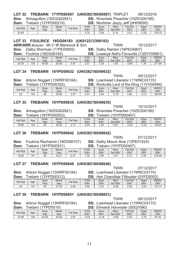#### LOT 32 TREBARN 17YPD00597 (UK0382180/00597) TRIPLET

**Sire:** Artnagullion (16ZGQ02921)

/2016 ) **SS:** Riverdale Preacher (15ZEG00190)

| Dam:    |     | ˈrebarn (12YPD00218) |                     |         | DS:                |                    |                 | Mortimer Jazzy Jeff (0HH9095) |              |                            |
|---------|-----|----------------------|---------------------|---------|--------------------|--------------------|-----------------|-------------------------------|--------------|----------------------------|
| Adj Wgt | Age | Scan<br>Wgt          | <b>Mscle</b><br>Dep | Fat Dep | 8 Wk<br><b>EBV</b> | Scan<br><b>EBV</b> | Mscl<br>Dpt EBV | Fat Dpt<br><b>EBV</b>         | Gigot<br>EBV | <b>INDEX</b><br><b>EBV</b> |
| 20.60   |     |                      |                     |         | 0.76               | 2.08               | 0.14            | $-0.27$                       | $-0.29$      | 129.70                     |

#### **- &&&**

**ARRIARR** Breeder : Mr C W Marwood & Son TWIN 10/12/2017

| Sire:   |     | Dalby Sherman (17PE05855) |              |         | <b>SS: Dalby Ranieri (16PE04907)</b>             |             |                 |                       |              |                            |
|---------|-----|---------------------------|--------------|---------|--------------------------------------------------|-------------|-----------------|-----------------------|--------------|----------------------------|
|         |     | Dam: Foulrice (16DG06164) |              |         | <b>DS:</b> Lowerve Neil's Favourite (13ZVY00661) |             |                 |                       |              |                            |
| Adi Wat | Age | Scan<br>Wat               | Mscle<br>Dep | Fat Dep | 8 Wk<br>EBV                                      | Scan<br>EBV | Mscl<br>Dot EBV | Fat Dpt<br><b>EBV</b> | Gigot<br>EBV | <b>INDEX</b><br><b>EBV</b> |
| 24.30   | 128 | 49.60                     | 29.38        | 4.07    | 2.67                                             | 7.26        | 1.05            | $-0.69$               | 1.36         | 277.94                     |

#### LOT 34 TREBARN 18YPD00632 (UK0382180/00632)

|         |     |                                                                           |       |         |            |      | <b>TWIN</b> |                                            | 09/12/2017 |              |
|---------|-----|---------------------------------------------------------------------------|-------|---------|------------|------|-------------|--------------------------------------------|------------|--------------|
|         |     | Sire: Arbryn Nugget (13WRF00184)                                          |       |         |            |      |             | <b>SS:</b> Loanhead Liberator (11WNC03170) |            |              |
| Dam:    |     | <b>DS:</b> Rockvilla Lord of the Ring (11VV00484)<br>Trebarn (13YPD00325) |       |         |            |      |             |                                            |            |              |
|         |     | Scan                                                                      | Mscle | Fat Dep | 8 Wk       | Scan | Mscl        | Fat Dpt                                    | Gigot      | <b>INDEX</b> |
| Adj Wgt | Age | Wat                                                                       | Dep   |         | <b>EBV</b> | EBV  | Dpt EBV     | <b>EBV</b>                                 | EBV        | <b>EBV</b>   |
| 23      | 145 | 48                                                                        | 26.82 | 2.57    | 2.01       | 4.94 | $-0.79$     | 0.29                                       | $-0.10$    | 180.95       |

#### LOT 35 TREBARN 18YPD00635 (UK0382180/00635)

**Sire:** Artnagullion (16ZGQ02921)

**Dam:** Trebarn (16YPD00553)

) **SS:** Riverdale Preacher (15ZEG00190)

| ------  | .   | ---  | ------       |                        |            | ------     | .       | -----      |         |              |
|---------|-----|------|--------------|------------------------|------------|------------|---------|------------|---------|--------------|
| Adj Wgt |     | Scan | <b>Mscle</b> | Fat Dep                | 3 Wk       | Scan       | Mscl    | Fat Dpt    | Gigot   | <b>INDEX</b> |
|         | Age | Wgt  | Dep          |                        | <b>EBV</b> | <b>EBV</b> | Dpt EBV | <b>EBV</b> | EBV     | <b>EBV</b>   |
| 18.80   | 144 | 40   | 29.25        | <b>CP C</b><br>د . ا ب | 0.59       | . 45       | 0.97    | $-0.25$    | $-0.32$ | 138.97       |

#### LOT 36 TREBARN 18YPD00642 (UK0382180/00642)

**Sire:** Foulrice Rachamin (16DG06107) **SS:** Dalby Mount Aloe (12PE01524)

| Dam:    |     | ˈrebarn (16YPD00531) |                     | DS:<br>Trebarn L. |                    |             | (15YPD00407)     |                       |                     |                            |
|---------|-----|----------------------|---------------------|-------------------|--------------------|-------------|------------------|-----------------------|---------------------|----------------------------|
| Adj Wgt | Age | Scan<br>Wgt          | <b>Mscle</b><br>Dep | Fat Dep           | 8 Wk<br><b>EBV</b> | Scan<br>EBV | Mscl<br>Dpt EBV  | Fat Dpt<br><b>EBV</b> | Gigot<br><b>EBV</b> | <b>INDEX</b><br><b>EBV</b> |
| 19.50   | 147 | 46                   | 32.01               | 2.47              | 1.32               | 3.90        | 1.8 <sup>1</sup> | 0.10                  | 0.50                | 216.06                     |

#### LOT 37 TREBARN 18YPD00646 (UK0382180/00646)

**Sire:** Arbryn Nugget (13WRF00184)

TWIN 07/12/2017 **SS:** Loanhead Liberator (11WNC03170)

#### S: Ash Charollais Filibuster (0YFD5002)

| Frebarn (13YPD00312)<br>Dam: |     |             |              | DS:<br>Ash Charollais Filibuster (0YFD5002) |             |                    |                 |                              |              |                     |
|------------------------------|-----|-------------|--------------|---------------------------------------------|-------------|--------------------|-----------------|------------------------------|--------------|---------------------|
| Adj Wgt                      | Age | Scan<br>Wgt | Mscle<br>Dep | Fat Dep                                     | 8 Wk<br>EBV | Scan<br><b>EBV</b> | Mscl<br>Dpt EBV | <b>Fat Dpt</b><br><b>EBV</b> | Gigot<br>EBV | <b>INDEX</b><br>EBV |
| 20                           | 147 | 44          | 27.20        | 2.90                                        | 0.89        | 2.23               | $-0.48$         | 0.38                         | $-0.84$      | 137.37              |

#### LOT 38 TREBARN 18YPD00651 (UK0382180/00651)

|         |     |                    |                                  |         |                    |                                            | <b>TWIN</b>     |                       | 08/12/2017          |                            |
|---------|-----|--------------------|----------------------------------|---------|--------------------|--------------------------------------------|-----------------|-----------------------|---------------------|----------------------------|
|         |     |                    | Sire: Arbryn Nugget (13WRF00184) |         |                    | <b>SS:</b> Loanhead Liberator (11WNC03170) |                 |                       |                     |                            |
| Dam:    |     | Trebarn (1YPD0010) |                                  |         |                    | <b>DS:</b> Elmwick Harvester (0DQ7090)     |                 |                       |                     |                            |
| Adj Wgt | Age | Scan<br>Wgt        | Mscle<br>Dep                     | Fat Dep | 8 Wk<br><b>EBV</b> | Scan<br>EBV                                | Mscl<br>Dpt EBV | Fat Dpt<br><b>EBV</b> | Gigot<br><b>EBV</b> | <b>INDEX</b><br><b>EBV</b> |
| 15.90   | 146 | 42.50              | 26.49                            | 2.87    | $-0.03$            | $-0.18$                                    | $-0.65$         | 0.34                  | $-0.70$             | 87.32                      |

TWIN 10/12/2017

**DS:** Trebarn (15YPD00407)

TWIN 07/12/2017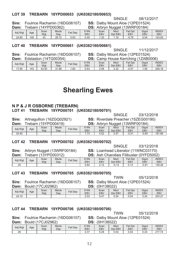#### LOT 39 TREBARN 18YPD00653 (UK0382180/00653)

|  |                             | Sire: Foulrice Rachamin (16DG06107) |
|--|-----------------------------|-------------------------------------|
|  | $Dam:$ Trebarn (14YPD00362) |                                     |

SINGLE SS: Dalby Mount Aloe (12PE01524) DS: Arbryn Nugget (13WRE00184)

| Dann.   | 11 <del>c</del> uaill 11 + 11 |             | <b>DUUJUZI</b>      |                |             |                    |                 | $\overline{D}$        |                     |                            |
|---------|-------------------------------|-------------|---------------------|----------------|-------------|--------------------|-----------------|-----------------------|---------------------|----------------------------|
| Adj Wgt | Age                           | Scan<br>Wgt | <b>Mscle</b><br>Dep | <b>Fat Dep</b> | 8 Wk<br>EB\ | Scan<br><b>EBV</b> | Mscl<br>Dpt EBV | Fat Dpt<br><b>EBV</b> | Gigot<br><b>EBV</b> | <b>INDEX</b><br><b>EBV</b> |
| 24.80   | 146                           | 43          | 28.72               | 0.93           | 0.45        | .30                | 1.19            | $-0.78$               | 0.54                | 143.93                     |

#### LOT 40 TREBARN 18YPD00661 (UK0382180/00661)

SINGLE 11/12/2017

08/12/2017

Foulrice Rachamin (16DG06107) Sire: Dam: Edstaston (14TG00354)

SS: Dalby Mount Aloe (12PE01524) DS: Camp House Kerrching (17AR0006)

| -----   |     |             | ---<br>$\sim$ . The contract of the contract of the contract of the contract of the contract of the contract of the contract of the contract of the contract of the contract of the contract of the contract of the contract of the co |           |             |                    |                 |                |                          |                            |
|---------|-----|-------------|----------------------------------------------------------------------------------------------------------------------------------------------------------------------------------------------------------------------------------------|-----------|-------------|--------------------|-----------------|----------------|--------------------------|----------------------------|
| Adi Wat | Age | Scan<br>Wgt | <b>Mscle</b><br>Dep                                                                                                                                                                                                                    | $Fat$ Dep | 8 Wk<br>EBV | Scan<br><b>EBV</b> | Mscl<br>Dpt EBV | Fat Dpt<br>EBV | Gigot<br>EB <sub>V</sub> | <b>INDEX</b><br><b>EBV</b> |
| 17.90   | 143 | 43.50       | 31.98                                                                                                                                                                                                                                  | .60       | 0.63        | 2.08               | າ າາ<br>2.02    | $-0.57$        | 1.06                     | 209.18                     |

### **Shearling Ewes**

#### N P & J R OSBORNE (TREBARN)

#### LOT 41 TREBARN 19YPD00701 (UK0382180/00701)

|         |                                                               |                                        |              |         |                                            |                    | SINGLE          |                       | 03/12/2018   |                     |  |
|---------|---------------------------------------------------------------|----------------------------------------|--------------|---------|--------------------------------------------|--------------------|-----------------|-----------------------|--------------|---------------------|--|
|         |                                                               | <b>Sire:</b> Artnagullion (16ZGQ02921) |              |         | <b>SS:</b> Riverdale Preacher (15ZEG00190) |                    |                 |                       |              |                     |  |
| Dam:    | <b>DS:</b> Arbryn Nugget (13WRF00184)<br>Trebarn (15YPD00419) |                                        |              |         |                                            |                    |                 |                       |              |                     |  |
| Adi Wat | Age                                                           | Scan<br>Wgt                            | Mscle<br>Dep | Fat Dep | 8 Wk<br><b>EBV</b>                         | Scan<br><b>EBV</b> | Mscl<br>Dpt EBV | Fat Dpt<br><b>EBV</b> | Giaot<br>EBV | INDE)<br><b>EBV</b> |  |
| 2540    |                                                               |                                        |              |         | 1 73                                       | 4.52               | 0.57            | $-0.51$               | -0.60        | 18186               |  |

#### LOT 42 TREBARN 19YPD00702 (UK0382180/00702)

**SINGLE** 03/12/2018

Sire: Arbryn Nugget (13WRF00184)  $D<sub>2</sub>$ m: Troborn (13VDD00312)

SS: Loanhead Liberator (11WNC03170) DS: Ach Charollais Filibustor (OVED5002)

**TWIN** 

**TWIN** 

| Dann.   |     | 1100a111 110 1 F DUUO 14 F |              |         |             | <b>DJ.</b> ASIL UHALVIIAIS I IIIDUSTEI TUTT DJUUZT |                 |                |                          |                     |
|---------|-----|----------------------------|--------------|---------|-------------|----------------------------------------------------|-----------------|----------------|--------------------------|---------------------|
| Adj Wgt | Age | Scan<br>Wgt                | Mscle<br>Dep | Fat Dep | 8 Wk<br>EBV | Scan<br><b>EBV</b>                                 | Mscl<br>Dpt EBV | Fat Dpt<br>EBV | Gigot<br>EB <sub>V</sub> | <b>INDEX</b><br>EBV |
| 25      |     |                            |              |         | 0.84        | .40<br>ے ، ے                                       | $-0.14$         | 0.13           | $-0.84$                  | 139.28              |

#### LOT 43 TREBARN 19YPD00705 (UK0382180/00705)

Sire: Foulrice Rachamin (16DG06107) Dam: Bould (17C 102962)

SS: Dalby Mount Aloe (12PE01524)  $DS: (0H138022)$ 

| <b>Pani</b> |     | <b>DUCTO THE COULD LATE</b> |                     |         |             | $\mathbf{C}$ . $\mathbf{C}$ . $\mathbf{C}$ |                 |                |              |                                 |
|-------------|-----|-----------------------------|---------------------|---------|-------------|--------------------------------------------|-----------------|----------------|--------------|---------------------------------|
| Adj Wgt     | Age | Scan<br>Wat                 | <b>Mscle</b><br>Dep | Fat Dep | 8 Wk<br>EB\ | Scan<br>EBV                                | Mscl<br>Dpt EBV | Fat Dpt<br>EBV | Gigot<br>EB\ | <b>INDEX</b><br>EB <sub>V</sub> |
| 24.10       |     |                             |                     |         | 2.03        | 5.47                                       | 0.54            | 0.04           | 0.24         | 203.27                          |

#### LOT 44 TREBARN 19YPD00706 (UK0382180/00706)

05/12/2018

Sire: Foulrice Rachamin (16DG06107) Dam: Bould (17C.102962)

SS: Dalby Mount Aloe (12PE01524)  $DS: (0H1, 38022)$ 

| -------- | ------- | .<br>-------- |              |         | ---            | ----------         |                 |                            |              |                            |
|----------|---------|---------------|--------------|---------|----------------|--------------------|-----------------|----------------------------|--------------|----------------------------|
| Adj Wgt  | Age     | Scan<br>Wgt   | Mscle<br>Dep | Fat Dep | 8 Wk<br>EBV    | Scan<br><b>EBV</b> | Mscl<br>Dpt EBV | Fat Dpt<br>EB <sub>V</sub> | Gigot<br>EB\ | <b>INDEX</b><br><b>EBV</b> |
| 26       |         |               |              |         | $0 -$<br>ا ق.ع | 6.28               | 0.54            | 0.04                       | 0.24         | 217.74                     |

05/12/2018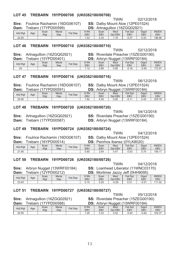**Sire:** Arbryn Nugget (1 3WRF001

| JII <del>c</del> . | AIDI JII NUYYO LI JIVIN OO ID |  |
|--------------------|-------------------------------|--|
| า                  | Traharn (19VDD00919)          |  |

| Dam: |  |  | Trebarn (12YPD00212) |  |
|------|--|--|----------------------|--|
|      |  |  |                      |  |

|  | Sire: Arbryn Nugget (13WRF00184 |  |
|--|---------------------------------|--|

|  | LOT 50 TREBARN 19YPD00726 ( |  |
|--|-----------------------------|--|

Dam:

|  | $\frac{1}{2}$ Outling than all $\frac{1}{2}$ to DOVU to $\frac{1}{2}$ | uu. |
|--|-----------------------------------------------------------------------|-----|
|  | Trebarn (16YPD00514)                                                  | DS: |

|            | barn (16YPD00514) |              |         | <b>DS:</b> Penrhos Ibanez (0YLK8020) |             |                 |                       |                     |                     |  |
|------------|-------------------|--------------|---------|--------------------------------------|-------------|-----------------|-----------------------|---------------------|---------------------|--|
| <b>\ge</b> | Scan<br>Wgt       | Mscle<br>Dep | Fat Dep | 8 Wk<br>EBV                          | Scan<br>EBV | Mscl<br>Dpt EBV | <b>Fat Dpt</b><br>EBV | Gigot<br><b>EBV</b> | INDE)<br><b>EBV</b> |  |

|                  | TWIN                                       | 04/12/201 |
|------------------|--------------------------------------------|-----------|
| n (16ZGQ02921) . | <b>SS:</b> Riverdale Preacher (15ZEG00190) |           |

Mscle Fat Dep 8 Wk<br>
Dep Fat Dep EBV<br>
1.62 - - - $\sim$  1

#### LOT 48 TREBARN 19YPD00720 (UK0382180/00720)

**Sire:** Artnagullion (16ZGQ02921

 $\frac{60}{100}$ 

**Dam:** Trebarn (1

Adi Wat Age Scan

-

25.90

 $\overline{2}$ 

### 7YPD00587) **DS:** Arbryn Nugget (13WRF00184)

#### LOT 49 TREBARN 19YPD00724 (UK0382180/00724)

**Sire:** Foulrice Rachamin (16DG06107) **SS:** Dalby Mount Aloe (12PE01524)

|           |                         | <b>DS:</b> Penrhos Ibanez (0YLK8020) |  |  |
|-----------|-------------------------|--------------------------------------|--|--|
| $Q$ $M/L$ | $C_{\alpha\alpha\beta}$ | $Mod \quad LefDnt \quad Ciaat$       |  |  |

| Adj Wgt | Age | Scan<br>Wgt | <b>Mscle</b><br>Dep | Fat Dep | 8 Wk<br>EBV | Scan<br>EBV | Mscl<br>EBV<br>Dpt | Fat<br>Dpt<br><b>EBV</b> | Gigot<br>EBV | <b>INDEX</b><br>EB\ |
|---------|-----|-------------|---------------------|---------|-------------|-------------|--------------------|--------------------------|--------------|---------------------|
| 21.90   |     |             |                     |         | 0.85        | 2.64        | 0.47               | $-0.03$                  | 70<br>U. / I | 156.17              |

#### **-**OT 50 TREBARN 19Y 00726 (UK0382180/00726)

| Dam:    | rebarn | (12YPD00212) |              |         | DS:                |                    |                 | Mortimer Jazzy Jeff (0HH9095) |                     |                            |
|---------|--------|--------------|--------------|---------|--------------------|--------------------|-----------------|-------------------------------|---------------------|----------------------------|
| Adj Wgt | Age    | Scan<br>Wgt  | Mscle<br>Dep | Fat Dep | 8 Wk<br><b>EBV</b> | Scan<br><b>EBV</b> | Mscl<br>Dpt EBV | <b>Fat Dpt</b><br>EBV         | Gigot<br><b>EBV</b> | <b>INDEX</b><br><b>EBV</b> |
| 23.40   |        |              |              |         | 0.15               | 0.25               | $-0.28$         | 0.31                          | $-0.51$             | 111.02                     |
|         |        |              |              |         |                    |                    |                 |                               |                     |                            |

#### LOT 51 TREBARN 19YPD00727 (UK0382180/00727)

**Sire:** Artnagullion (16ZGQ02921

| Dam:    |     | 「rebarn (17YPD00588) |                     |         | DS:                |             |                 | Arbryn Nugget (13WRF00184) |                     |                     |
|---------|-----|----------------------|---------------------|---------|--------------------|-------------|-----------------|----------------------------|---------------------|---------------------|
| Adj Wgt | Age | Scan<br>Wgt          | <b>Mscle</b><br>Dep | Fat Dep | 8 Wk<br><b>EBV</b> | Scan<br>EBV | Mscl<br>Dpt EBV | Fat Dpt<br><b>EBV</b>      | Gigot<br><b>EBV</b> | <b>INDEX</b><br>EBV |
| 24.50   |     |                      |                     |         | 1.26               | 3.32        | 0.52            | $-0.40$                    | $-0.60$             | 162.37              |

TWIN 2/2018 by Mount Al 2PE01

| Sire: Foulrice Rachamin (16DG06107) |  |  | <b>SS:</b> Dalby Mount Aloe (12PE01524) |  |
|-------------------------------------|--|--|-----------------------------------------|--|
| <b>Dam:</b> Trebarn (17YPD00591)    |  |  | <b>DS:</b> Arbryn Nugget (13WRF00184)   |  |
|                                     |  |  |                                         |  |

 $4.50 0.92$ 

|  |  |  | LOT 45 TREBARN 19YPD00708 (UK0382180/00708) |
|--|--|--|---------------------------------------------|
|--|--|--|---------------------------------------------|

TWIN 2/2018 **Sire:** Foulrice Rachamin (16DG06107) **SS:** Dalby Mount Aloe (12PE01524)

TWIN

2/2018

**INDEX**  $F$ <sub>FRV</sub>

 $0.43$  205.78

2/2018

| Dam:    | rebarn . |             | (17YPD00599)        | DS:<br>Artnagullion (16ZGQ02921) |             |                    |                 |                       |              |                            |
|---------|----------|-------------|---------------------|----------------------------------|-------------|--------------------|-----------------|-----------------------|--------------|----------------------------|
| Adj Wgt | Age      | Scan<br>Wgt | <b>Mscle</b><br>Dep | Fat Dep                          | 8 Wk<br>EBV | Scan<br><b>EBV</b> | Mscl<br>Dpt EBV | Fat Dpt<br><b>EBV</b> | Gigot<br>EBV | <b>INDEX</b><br><b>EBV</b> |
| 22.50   |          |             |                     |                                  | 1.53        | +.33               | 1.19            | $-0.37$               | 0.33         | 196.96                     |

#### LOT 46 TREBARN 19YPD00710 (UK0382180/00710)

**Sire:** Artnagullion (16ZGQ02921 ) **SS:** Riverdale Preacher (15ZEG00190)

 $(1 - \sqrt{2})$ 

| Dam:    |     | 「rebarn (15YPD00401) |              |         |                    |                    |                 | <b>DS:</b> Arbryn Nugget (13WRF00184) |                     |                            |
|---------|-----|----------------------|--------------|---------|--------------------|--------------------|-----------------|---------------------------------------|---------------------|----------------------------|
| Adj Wgt | Age | Scan<br>Wgt          | Mscle<br>Dep | Fat Dep | 8 Wk<br><b>EBV</b> | Scan<br><b>EBV</b> | Mscl<br>Dot EBV | <b>Fat Dpt</b><br>EBV                 | Gigot<br><b>EBV</b> | <b>INDEX</b><br><b>EBV</b> |
| 24      |     |                      |              |         | 1 1 2              | 2.86               | 0.95            | $-0.18$                               | $-0.50$             | 172.57                     |

#### LOT 47 TREBARN 19YPD00716 (UK0382180/00716)

**Sire:** Foulrice Rachamin (1

Mscle

|            |            |         | <b>DS:</b> Arbryn Nugget (13WRF00184) |            |  |
|------------|------------|---------|---------------------------------------|------------|--|
| 8 Wk       | Scan       | Mscl    | Fat Dpt                               | Gigot      |  |
| <b>FRV</b> | <b>FRV</b> | Dot EBV | <b>FRV</b>                            | <b>FRV</b> |  |

 $-0.11$ 

| 80/00724) |         |        |
|-----------|---------|--------|
|           | $T$ $N$ | 0.1101 |

#### TWIN 04/1 2/2018

2/2018

) **SS:** Riverdale Preacher (15ZEG00190)

#### ""&&4-

84) **SS:** Loanhead Liberator (11WNC03170)

TWIN

TWIN 2/2018

13